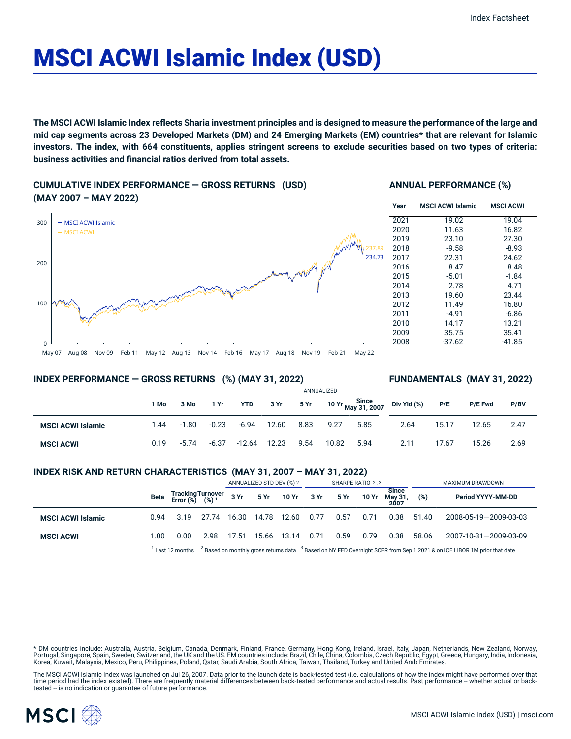# MSCI ACWI Islamic Index (USD)

The MSCI ACWI Islamic Index reflects Sharia investment principles and is designed to measure the performance of the large and mid cap segments across 23 Developed Markets (DM) and 24 Emerging Markets (EM) countries\* that are relevant for Islamic investors. The index, with 664 constituents, applies stringent screens to exclude securities based on two types of criteria: **business activities and financial ratios derived from total assets.**

**CUMULATIVE INDEX PERFORMANCE — GROSS RETURNS (USD) (MAY 2007 – MAY 2022)**



## **ANNUAL PERFORMANCE (%)**

| Year | <b>MSCI ACWI Islamic</b> | <b>MSCI ACWI</b> |
|------|--------------------------|------------------|
| 2021 | 19.02                    | 19.04            |
| 2020 | 11.63                    | 16.82            |
| 2019 | 23.10                    | 27.30            |
| 2018 | $-9.58$                  | $-8.93$          |
| 2017 | 22.31                    | 24.62            |
| 2016 | 8.47                     | 8.48             |
| 2015 | $-5.01$                  | $-1.84$          |
| 2014 | 2.78                     | 4.71             |
| 2013 | 19.60                    | 23.44            |
| 2012 | 11.49                    | 16.80            |
| 2011 | -4.91                    | $-6.86$          |
| 2010 | 14.17                    | 13.21            |
| 2009 | 35.75                    | 35.41            |
| 2008 | $-37.62$                 | $-41.85$         |

#### May 07 Aug 08 Nov 09 Feb 11 May 12 Aug 13 Nov 14 Feb 16 May 17 Aug 18 Nov 19 Feb 21 May 22

### **INDEX PERFORMANCE — GROSS RETURNS (%) (MAY 31, 2022)**

### **FUNDAMENTALS (MAY 31, 2022)**

|                          |      |         |         |          |       |      | ANNUALIZED |      |                                         |       |                |      |
|--------------------------|------|---------|---------|----------|-------|------|------------|------|-----------------------------------------|-------|----------------|------|
|                          | 1 Mo | 3 Mo    | 1 Yr    | YTD      | 3 Yr  | 5 Yr |            |      | 10 Yr Since<br>May 31, 2007 Div Yld (%) | P/E   | <b>P/E Fwd</b> | P/BV |
| <b>MSCI ACWI Islamic</b> | 1.44 | $-1.80$ | $-0.23$ | $-6.94$  | 12.60 | 8.83 | 9.27       | 5.85 | 2.64                                    | 15.17 | 12.65          | 2.47 |
| <b>MSCI ACWI</b>         | 0.19 | $-5.74$ | $-6.37$ | $-12.64$ | 12.23 | 9.54 | 10.82      | 5.94 | 2.11                                    | 17.67 | 15.26          | 2.69 |

## **INDEX RISK AND RETURN CHARACTERISTICS (MAY 31, 2007 – MAY 31, 2022)**

|                          |      |                                                                                                                                                 |       | ANNUALIZED STD DEV (%) 2 |       | SHARPE RATIO 2,3     |      |      |       | MAXIMUM DRAWDOWN                |       |                       |
|--------------------------|------|-------------------------------------------------------------------------------------------------------------------------------------------------|-------|--------------------------|-------|----------------------|------|------|-------|---------------------------------|-------|-----------------------|
|                          | Beta | Tracking Turnover<br>Error (%) (%) <sup>1</sup>                                                                                                 |       |                          |       | 3 Yr 5 Yr 10 Yr 3 Yr |      | 5 Yr | 10 Yr | <b>Since</b><br>May 31,<br>2007 | (%)   | Period YYYY-MM-DD     |
| <b>MSCI ACWI Islamic</b> | 0.94 | 3.19                                                                                                                                            | 27.74 | 16.30                    | 14.78 | 12.60                | 0.77 | 0.57 | 0.71  | 0.38                            | 51.40 | 2008-05-19-2009-03-03 |
| <b>MSCI ACWI</b>         | 1.00 | 0.00                                                                                                                                            | 2.98  | 17.51                    |       | 15.66 13.14          | 0.71 | 0.59 | 0.79  | 0.38                            | 58.06 | 2007-10-31-2009-03-09 |
|                          |      | $1$ Last 12 months $2$ Based on monthly gross returns data $3$ Based on NY FED Overnight SOFR from Sep 1 2021 & on ICE LIBOR 1M prior that date |       |                          |       |                      |      |      |       |                                 |       |                       |

\* DM countries include: Australia, Austria, Belgium, Canada, Denmark, Finland, France, Germany, Hong Kong, Ireland, Israel, Italy, Japan, Netherlands, New Zealand, Norway, Portugal, Singapore, Spain, Sweden, Switzerland, the UK and the US. EM countries include: Brazil, Chile, China, Colombia, Czech Republic, Egypt, Greece, Hungary, India, Indonesia, Korea, Kuwait, Malaysia, Mexico, Peru, Philippines, Poland, Qatar, Saudi Arabia, South Africa, Taiwan, Thailand, Turkey and United Arab Emirates.

The MSCI ACWI Islamic Index was launched on Jul 26, 2007. Data prior to the launch date is back-tested test (i.e. calculations of how the index might have performed over that time period had the index existed). There are frequently material differences between back-tested performance and actual results. Past performance – whether actual or back-<br>tested – is no indication or guarantee of future

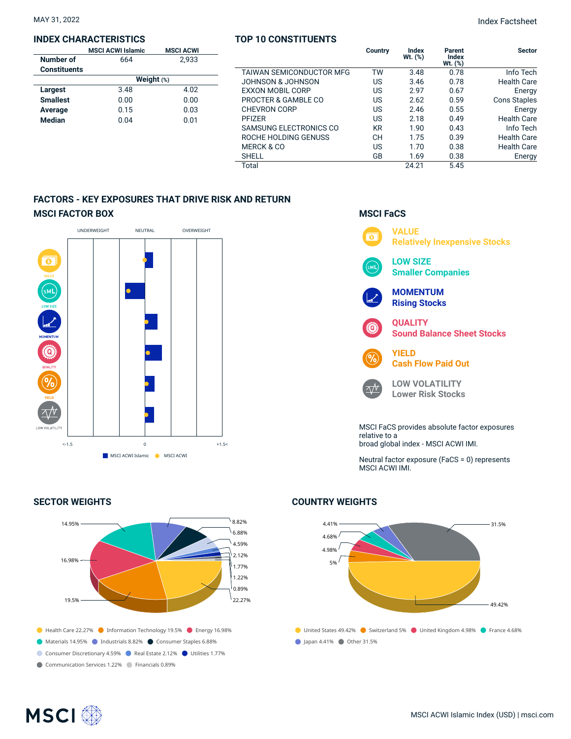## **INDEX CHARACTERISTICS**

|                     | <b>MSCI ACWI Islamic</b> | <b>MSCI ACWI</b> |  |  |  |  |  |
|---------------------|--------------------------|------------------|--|--|--|--|--|
| Number of           | 664                      | 2.933            |  |  |  |  |  |
| <b>Constituents</b> |                          |                  |  |  |  |  |  |
|                     | Weight $(*)$             |                  |  |  |  |  |  |
| Largest             | 3.48                     | 4.02             |  |  |  |  |  |
| <b>Smallest</b>     | 0.00                     | 0.00             |  |  |  |  |  |
| Average             | 0.15                     | 0.03             |  |  |  |  |  |
| <b>Median</b>       | 0.04                     | 0.01             |  |  |  |  |  |
|                     |                          |                  |  |  |  |  |  |

## **TOP 10 CONSTITUENTS**

|                          | Country   | Index<br>Wt. (%) | Parent<br>Index<br>$Wt.$ $(\%)$ | <b>Sector</b>       |
|--------------------------|-----------|------------------|---------------------------------|---------------------|
| TAIWAN SEMICONDUCTOR MFG | TW        | 3.48             | 0.78                            | Info Tech           |
| JOHNSON & JOHNSON        | US        | 3.46             | 0.78                            | <b>Health Care</b>  |
| <b>EXXON MOBIL CORP</b>  | US.       | 2.97             | 0.67                            | Energy              |
| PROCTER & GAMBLE CO      | US        | 2.62             | 0.59                            | <b>Cons Staples</b> |
| <b>CHEVRON CORP</b>      | US        | 2.46             | 0.55                            | Energy              |
| <b>PFIZER</b>            | US.       | 2.18             | 0.49                            | <b>Health Care</b>  |
| SAMSUNG ELECTRONICS CO   | <b>KR</b> | 1.90             | 0.43                            | Info Tech           |
| ROCHE HOLDING GENUSS     | <b>CH</b> | 1.75             | 0.39                            | <b>Health Care</b>  |
| MERCK & CO               | US.       | 1.70             | 0.38                            | <b>Health Care</b>  |
| <b>SHELL</b>             | GB        | 1.69             | 0.38                            | Energy              |
| Total                    |           | 24.21            | 5.45                            |                     |

## **FACTORS - KEY EXPOSURES THAT DRIVE RISK AND RETURN MSCI FACTOR BOX**



## **SECTOR WEIGHTS**



## **MSCI FaCS**



Neutral factor exposure (FaCS = 0) represents MSCI ACWI IMI.

## **COUNTRY WEIGHTS**



## **MSCI**<sup>®</sup>